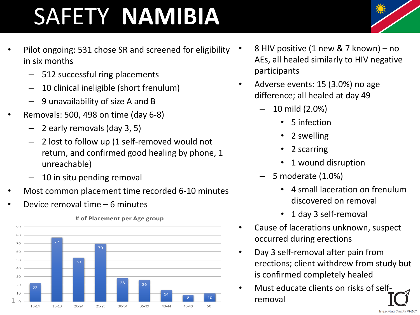## SAFETY **NAMIBIA**

- Pilot ongoing: 531 chose SR and screened for eligibility in six months
	- 512 successful ring placements
	- 10 clinical ineligible (short frenulum)
	- 9 unavailability of size A and B
- Removals: 500, 498 on time (day 6-8)
	- 2 early removals (day 3, 5)
	- 2 lost to follow up (1 self-removed would not return, and confirmed good healing by phone, 1 unreachable)
	- 10 in situ pending removal
- Most common placement time recorded 6-10 minutes
- Device removal time 6 minutes



## # of Placement per Age group

- 8 HIV positive (1 new & 7 known) no AEs, all healed similarly to HIV negative participants
- Adverse events: 15 (3.0%) no age difference; all healed at day 49
	- 10 mild (2.0%)
		- 5 infection
		- 2 swelling
		- 2 scarring
		- 1 wound disruption
	- 5 moderate (1.0%)
		- 4 small laceration on frenulum discovered on removal
		- 1 day 3 self-removal
- Cause of lacerations unknown, suspect occurred during erections
- Day 3 self-removal after pain from erections; client withdrew from study but is confirmed completely healed
- Must educate clients on risks of selfremoval



**Improving Quality VMMC**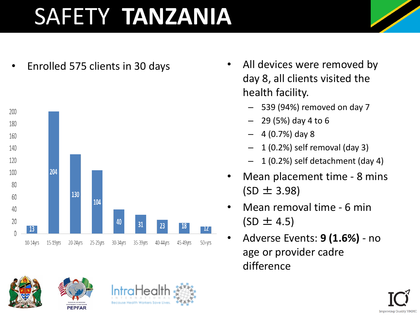## SAFETY **TANZANIA**



- Enrolled 575 clients in 30 days All devices were removed by day 8, all clients visited the health facility.
	- 539 (94%) removed on day 7
	- 29 (5%) day 4 to 6
	- $-4(0.7%)$  day 8
	- 1 (0.2%) self removal (day 3)
	- 1 (0.2%) self detachment (day 4)
	- Mean placement time 8 mins  $(SD \pm 3.98)$
	- Mean removal time 6 min  $(SD \pm 4.5)$
	- Adverse Events: **9 (1.6%)**  no age or provider cadre difference